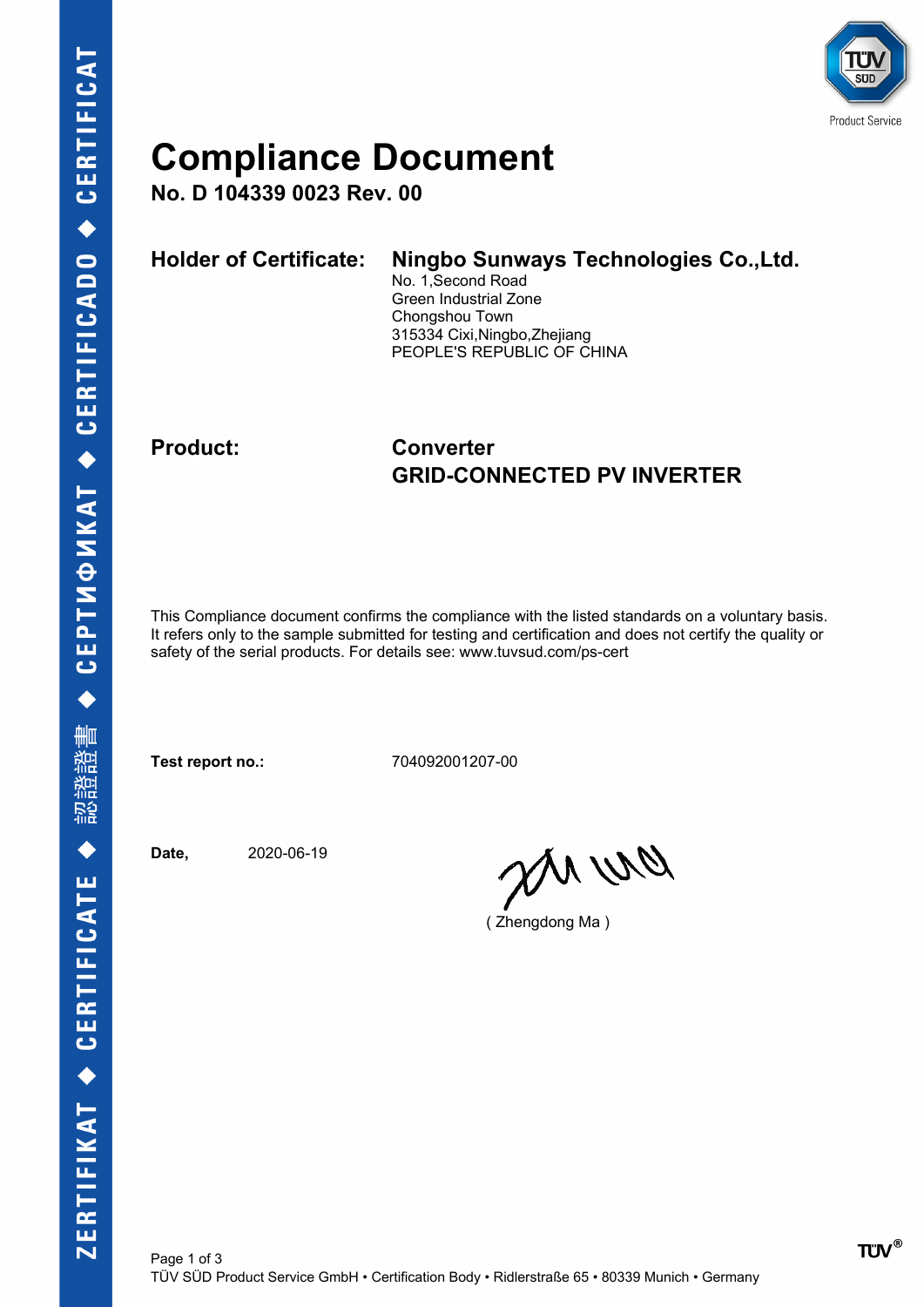

### **Compliance Document**

**No. D 104339 0023 Rev. 00**

| <b>Holder of Certificate:</b> | Ningbo Sunways Technologies Co., Ltd.<br>No. 1, Second Road<br>Green Industrial Zone<br>Chongshou Town<br>315334 Cixi, Ningbo, Zhejiang |
|-------------------------------|-----------------------------------------------------------------------------------------------------------------------------------------|
|                               | PEOPLE'S REPUBLIC OF CHINA                                                                                                              |

#### **Product: Converter GRID-CONNECTED PV INVERTER**

This Compliance document confirms the compliance with the listed standards on a voluntary basis. It refers only to the sample submitted for testing and certification and does not certify the quality or safety of the serial products. For details see: www.tuvsud.com/ps-cert

**Test report no.:** 704092001207-00

**Date,** 2020-06-19

en wa

( Zhengdong Ma )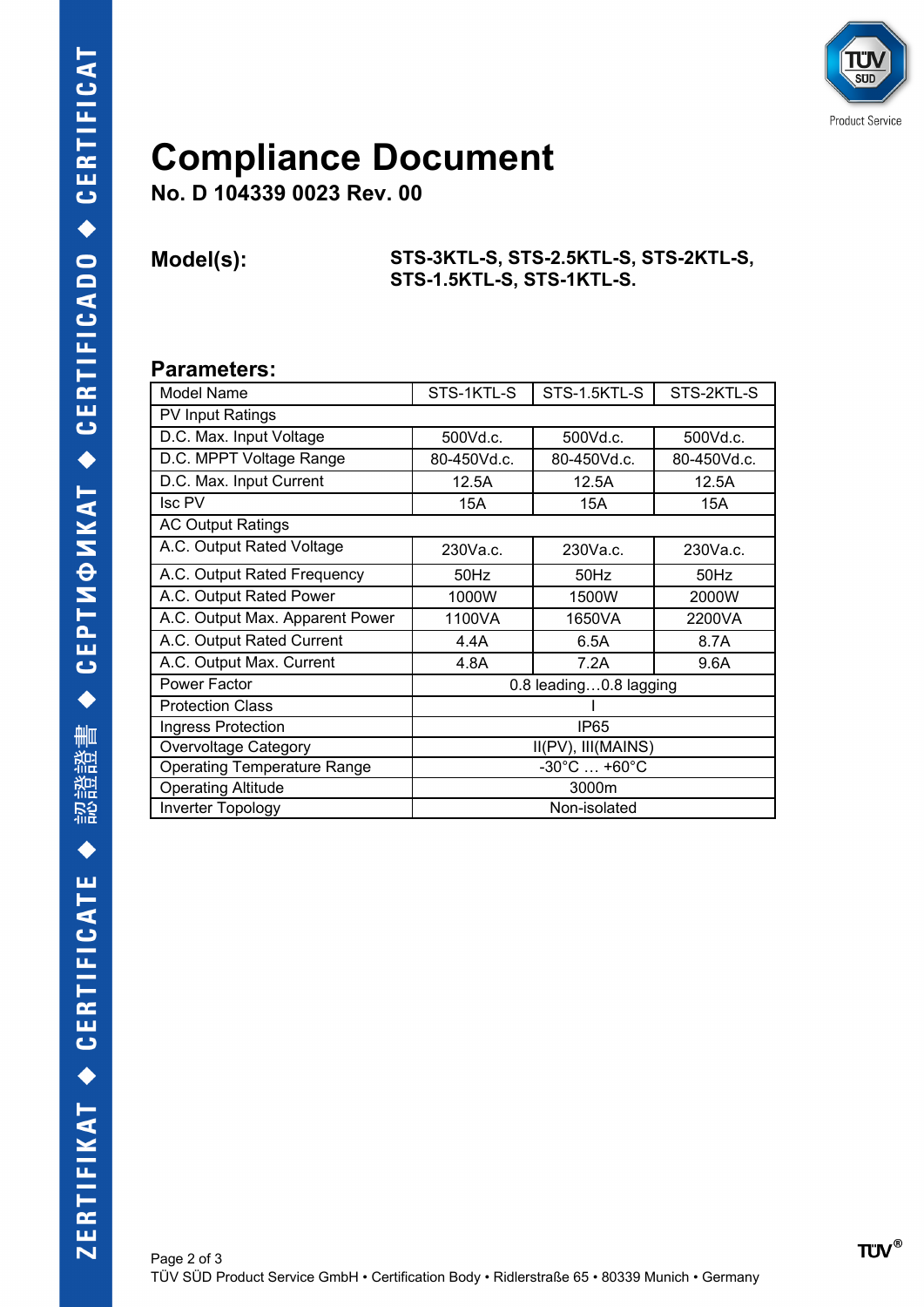

## **Compliance Document**

**No. D 104339 0023 Rev. 00**

**Model(s): STS-3KTL-S, STS-2.5KTL-S, STS-2KTL-S, STS-1.5KTL-S, STS-1KTL-S.**

#### **Parameters:**

| Model Name                         | STS-1KTL-S                       | STS-1.5KTL-S | STS-2KTL-S  |  |  |
|------------------------------------|----------------------------------|--------------|-------------|--|--|
| <b>PV Input Ratings</b>            |                                  |              |             |  |  |
| D.C. Max. Input Voltage            | 500Vd.c.                         | 500Vd.c.     | 500Vd.c.    |  |  |
| D.C. MPPT Voltage Range            | 80-450Vd.c.                      | 80-450Vd.c.  | 80-450Vd.c. |  |  |
| D.C. Max. Input Current            | 12.5A                            | 12.5A        | 12.5A       |  |  |
| Isc PV                             | 15A                              | 15A          | 15A         |  |  |
| <b>AC Output Ratings</b>           |                                  |              |             |  |  |
| A.C. Output Rated Voltage          | 230Va.c.                         | 230Va.c.     | 230Va.c.    |  |  |
| A.C. Output Rated Frequency        | 50Hz                             | 50Hz         | 50Hz        |  |  |
| A.C. Output Rated Power            | 1000W                            | 1500W        | 2000W       |  |  |
| A.C. Output Max. Apparent Power    | 1100VA                           | 1650VA       | 2200VA      |  |  |
| A.C. Output Rated Current          | 4.4A                             | 6.5A         | 8.7A        |  |  |
| A.C. Output Max. Current           | 4.8A                             | 7.2A         | 9.6A        |  |  |
| Power Factor                       | 0.8 leading0.8 lagging           |              |             |  |  |
| <b>Protection Class</b>            |                                  |              |             |  |  |
| Ingress Protection                 | IP <sub>65</sub>                 |              |             |  |  |
| Overvoltage Category               | II(PV), III(MAINS)               |              |             |  |  |
| <b>Operating Temperature Range</b> | $-30^{\circ}$ C $ +60^{\circ}$ C |              |             |  |  |
| <b>Operating Altitude</b>          | 3000m                            |              |             |  |  |
| Inverter Topology                  | Non-isolated                     |              |             |  |  |